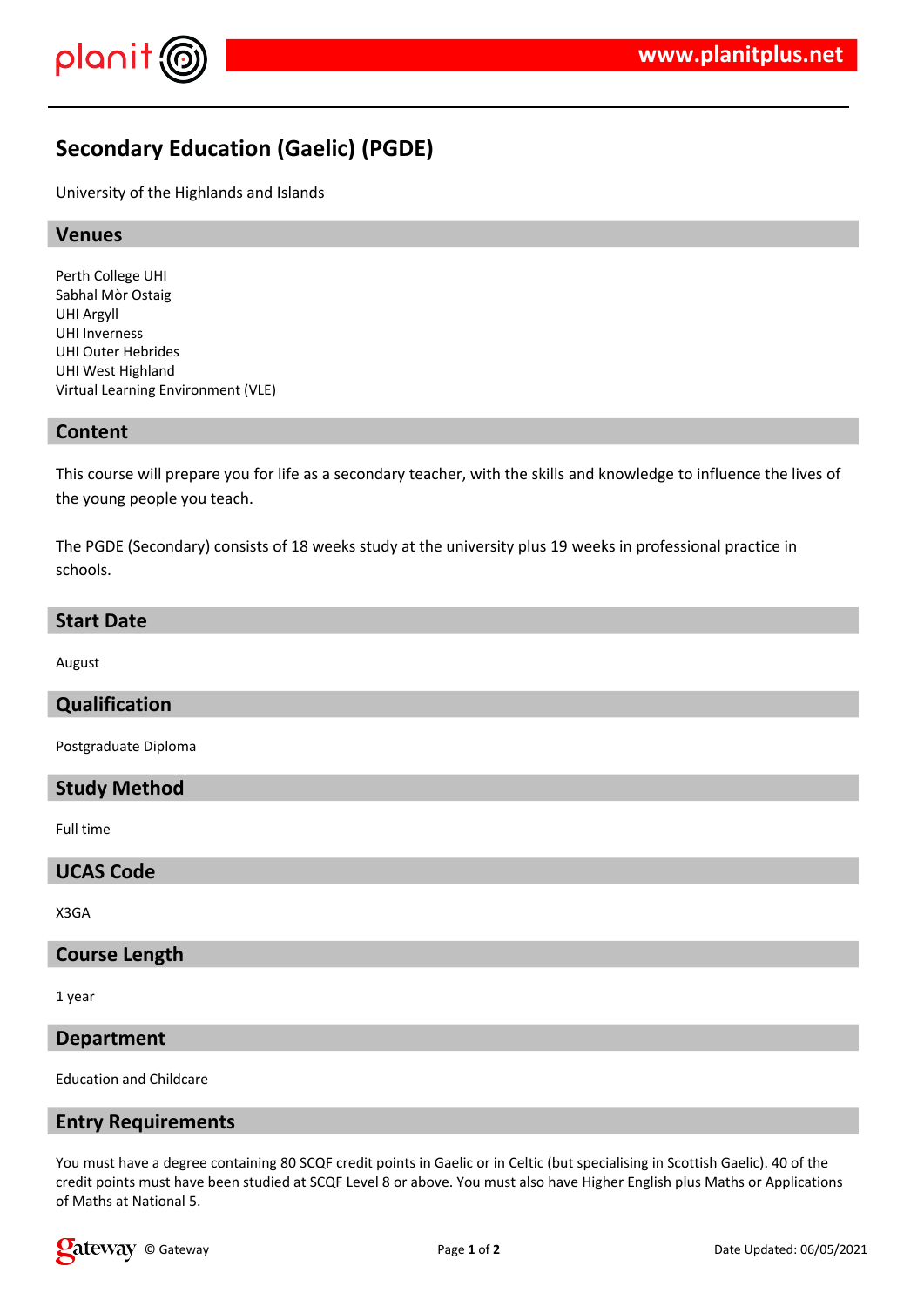

# **Secondary Education (Gaelic) (PGDE)**

University of the Highlands and Islands

## **Venues**

Perth College UHI Sabhal Mòr Ostaig UHI Argyll UHI Inverness UHI Outer Hebrides UHI West Highland Virtual Learning Environment (VLE)

## **Content**

This course will prepare you for life as a secondary teacher, with the skills and knowledge to influence the lives of the young people you teach.

The PGDE (Secondary) consists of 18 weeks study at the university plus 19 weeks in professional practice in schools.

#### **Start Date**

August

# **Qualification**

Postgraduate Diploma

## **Study Method**

Full time

#### **UCAS Code**

X3GA

# **Course Length**

1 year

## **Department**

Education and Childcare

## **Entry Requirements**

You must have a degree containing 80 SCQF credit points in Gaelic or in Celtic (but specialising in Scottish Gaelic). 40 of the credit points must have been studied at SCQF Level 8 or above. You must also have Higher English plus Maths or Applications of Maths at National 5.